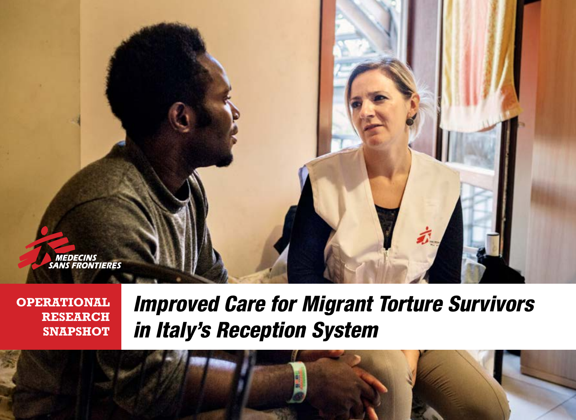

**OPERATIONAL RESEARCH SNAPSHOT** *Improved Care for Migrant Torture Survivors in Italy's Reception System*

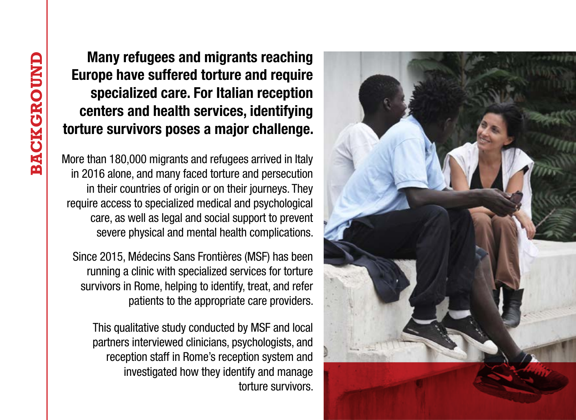Many refugees and migrants reaching Europe have suffered torture and require specialized care. For Italian reception centers and health services, identifying torture survivors poses a major challenge.

More than 180,000 migrants and refugees arrived in Italy in 2016 alone, and many faced torture and persecution in their countries of origin or on their journeys. They require access to specialized medical and psychological care, as well as legal and social support to prevent severe physical and mental health complications.

Since 2015, Médecins Sans Frontières (MSF) has been running a clinic with specialized services for torture survivors in Rome, helping to identify, treat, and refer patients to the appropriate care providers.

This qualitative study conducted by MSF and local partners interviewed clinicians, psychologists, and reception staff in Rome's reception system and investigated how they identify and manage torture survivors.

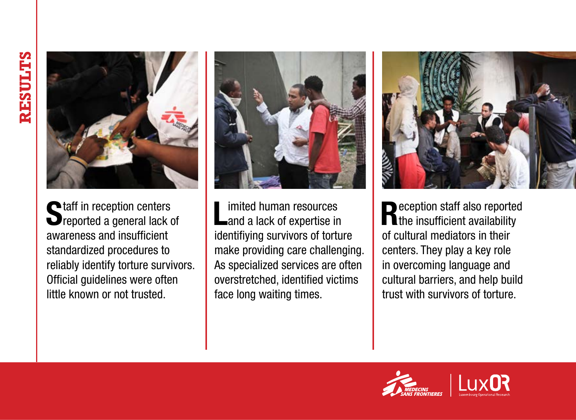

Staff in reception centers<br>Sreported a general lack of awareness and insufficient standardized procedures to reliably identify torture survivors. Official guidelines were often little known or not trusted.



Limited human resources<br>
and a lack of expertise in identifiying survivors of torture make providing care challenging. As specialized services are often overstretched, identified victims face long waiting times.



Reception staff also reported the insufficient availability of cultural mediators in their centers. They play a key role in overcoming language and cultural barriers, and help build trust with survivors of torture.